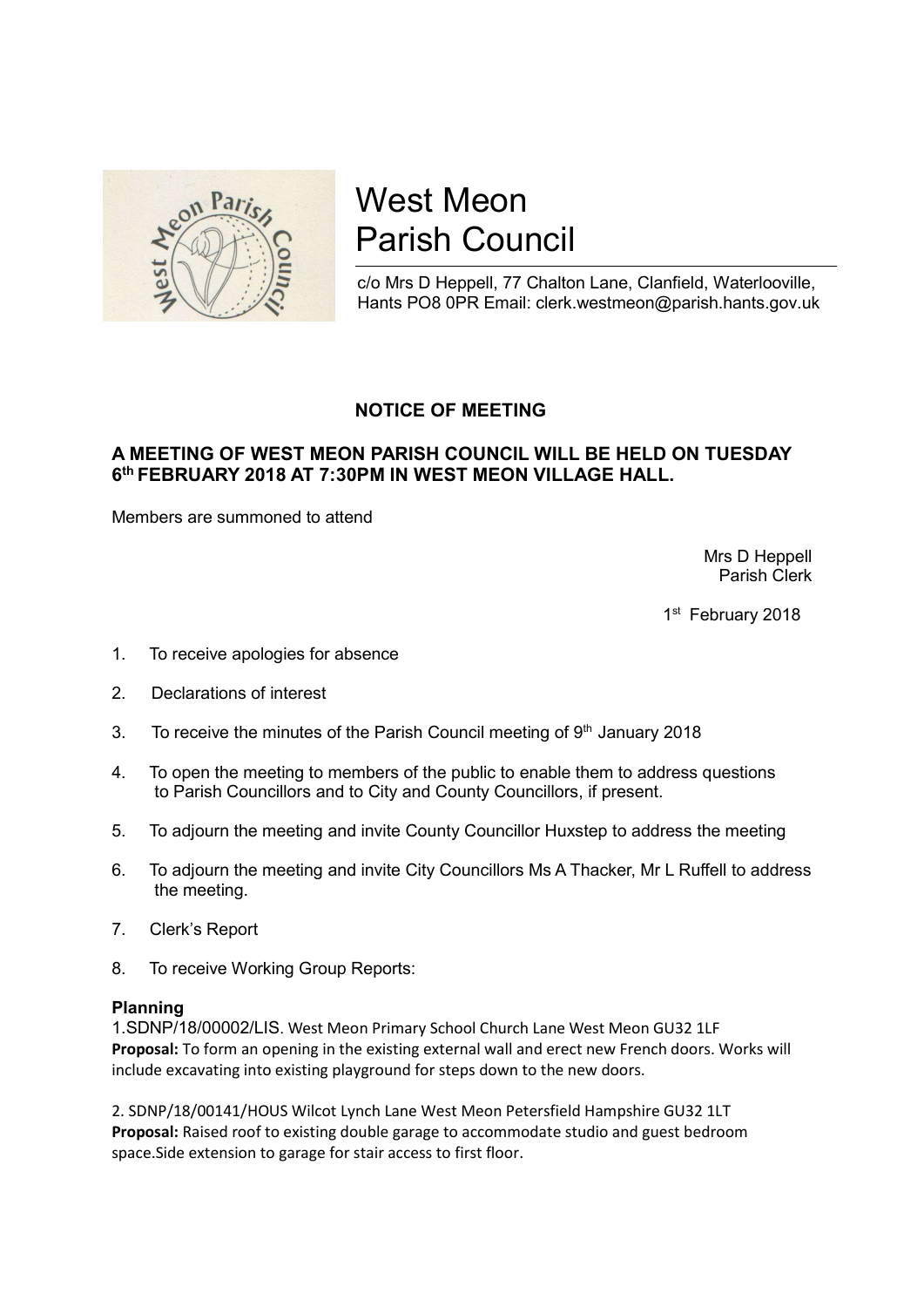

# West Meon Parish Council

c/o Mrs D Heppell, 77 Chalton Lane, Clanfield, Waterlooville, Hants PO8 0PR Email: clerk.westmeon@parish.hants.gov.uk

# NOTICE OF MEETING

## A MEETING OF WEST MEON PARISH COUNCIL WILL BE HELD ON TUESDAY 6<sup>th</sup> FEBRUARY 2018 AT 7:30PM IN WEST MEON VILLAGE HALL.

Members are summoned to attend

 Mrs D Heppell Parish Clerk

1st February 2018

- 1. To receive apologies for absence
- 2. Declarations of interest
- 3. To receive the minutes of the Parish Council meeting of  $9<sup>th</sup>$  January 2018
- 4. To open the meeting to members of the public to enable them to address questions to Parish Councillors and to City and County Councillors, if present.
- 5. To adjourn the meeting and invite County Councillor Huxstep to address the meeting
- 6. To adjourn the meeting and invite City Councillors Ms A Thacker, Mr L Ruffell to address the meeting.
- 7. Clerk's Report
- 8. To receive Working Group Reports:

#### Planning

1.SDNP/18/00002/LIS. West Meon Primary School Church Lane West Meon GU32 1LF Proposal: To form an opening in the existing external wall and erect new French doors. Works will include excavating into existing playground for steps down to the new doors.

2. SDNP/18/00141/HOUS Wilcot Lynch Lane West Meon Petersfield Hampshire GU32 1LT Proposal: Raised roof to existing double garage to accommodate studio and guest bedroom space.Side extension to garage for stair access to first floor.